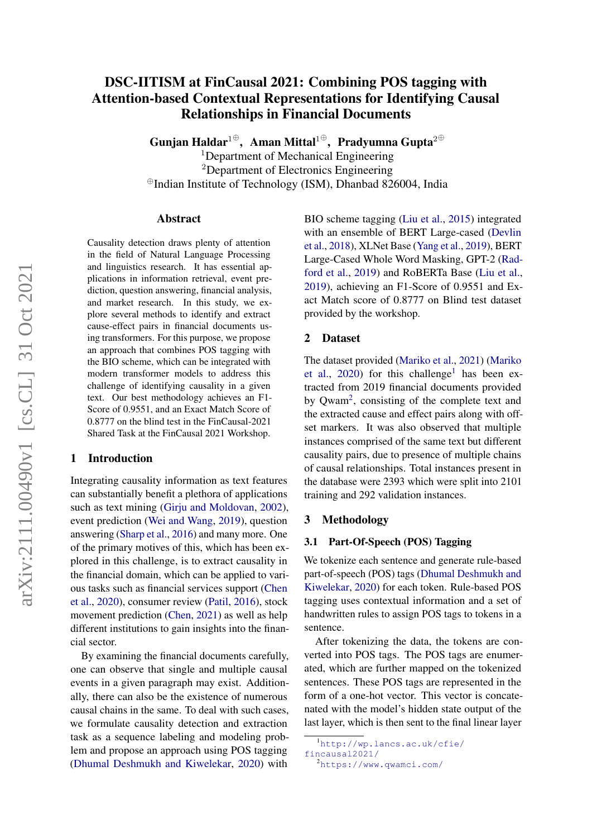# DSC-IITISM at FinCausal 2021: Combining POS tagging with Attention-based Contextual Representations for Identifying Causal Relationships in Financial Documents

Gunjan Haldar $^{1\oplus},\;$  Aman Mittal $^{1\oplus},\;$  Pradyumna Gupta $^{2\oplus}$ 

<sup>1</sup>Department of Mechanical Engineering <sup>2</sup>Department of Electronics Engineering <sup>⊕</sup>Indian Institute of Technology (ISM), Dhanbad 826004, India

#### Abstract

Causality detection draws plenty of attention in the field of Natural Language Processing and linguistics research. It has essential applications in information retrieval, event prediction, question answering, financial analysis, and market research. In this study, we explore several methods to identify and extract cause-effect pairs in financial documents using transformers. For this purpose, we propose an approach that combines POS tagging with the BIO scheme, which can be integrated with modern transformer models to address this challenge of identifying causality in a given text. Our best methodology achieves an F1- Score of 0.9551, and an Exact Match Score of 0.8777 on the blind test in the FinCausal-2021 Shared Task at the FinCausal 2021 Workshop.

#### 1 Introduction

Integrating causality information as text features can substantially benefit a plethora of applications such as text mining [\(Girju and Moldovan,](#page-4-0) [2002\)](#page-4-0), event prediction [\(Wei and Wang,](#page-4-1) [2019\)](#page-4-1), question answering [\(Sharp et al.,](#page-4-2) [2016\)](#page-4-2) and many more. One of the primary motives of this, which has been explored in this challenge, is to extract causality in the financial domain, which can be applied to various tasks such as financial services support [\(Chen](#page-4-3) [et al.,](#page-4-3) [2020\)](#page-4-3), consumer review [\(Patil,](#page-4-4) [2016\)](#page-4-4), stock movement prediction [\(Chen,](#page-4-5) [2021\)](#page-4-5) as well as help different institutions to gain insights into the financial sector.

By examining the financial documents carefully, one can observe that single and multiple causal events in a given paragraph may exist. Additionally, there can also be the existence of numerous causal chains in the same. To deal with such cases, we formulate causality detection and extraction task as a sequence labeling and modeling problem and propose an approach using POS tagging [\(Dhumal Deshmukh and Kiwelekar,](#page-4-6) [2020\)](#page-4-6) with BIO scheme tagging [\(Liu et al.,](#page-4-7) [2015\)](#page-4-7) integrated with an ensemble of BERT Large-cased [\(Devlin](#page-4-8) [et al.,](#page-4-8) [2018\)](#page-4-8), XLNet Base [\(Yang et al.,](#page-4-9) [2019\)](#page-4-9), BERT Large-Cased Whole Word Masking, GPT-2 [\(Rad](#page-4-10)[ford et al.,](#page-4-10) [2019\)](#page-4-10) and RoBERTa Base [\(Liu et al.,](#page-4-11) [2019\)](#page-4-11), achieving an F1-Score of 0.9551 and Exact Match score of 0.8777 on Blind test dataset provided by the workshop.

### 2 Dataset

The dataset provided [\(Mariko et al.,](#page-4-12) [2021\)](#page-4-12) [\(Mariko](#page-4-13) [et al.,](#page-4-13) [2020\)](#page-4-13) for this challenge<sup>[1](#page-0-0)</sup> has been extracted from 2019 financial documents provided by Qwam<sup>[2](#page-0-1)</sup>, consisting of the complete text and the extracted cause and effect pairs along with offset markers. It was also observed that multiple instances comprised of the same text but different causality pairs, due to presence of multiple chains of causal relationships. Total instances present in the database were 2393 which were split into 2101 training and 292 validation instances.

#### 3 Methodology

## 3.1 Part-Of-Speech (POS) Tagging

We tokenize each sentence and generate rule-based part-of-speech (POS) tags [\(Dhumal Deshmukh and](#page-4-6) [Kiwelekar,](#page-4-6) [2020\)](#page-4-6) for each token. Rule-based POS tagging uses contextual information and a set of handwritten rules to assign POS tags to tokens in a sentence.

After tokenizing the data, the tokens are converted into POS tags. The POS tags are enumerated, which are further mapped on the tokenized sentences. These POS tags are represented in the form of a one-hot vector. This vector is concatenated with the model's hidden state output of the last layer, which is then sent to the final linear layer

<span id="page-0-1"></span><sup>2</sup><https://www.qwamci.com/>

<span id="page-0-0"></span><sup>1</sup>[http://wp.lancs.ac.uk/cfie/](http://wp.lancs.ac.uk/cfie/fincausal2021/) [fincausal2021/](http://wp.lancs.ac.uk/cfie/fincausal2021/)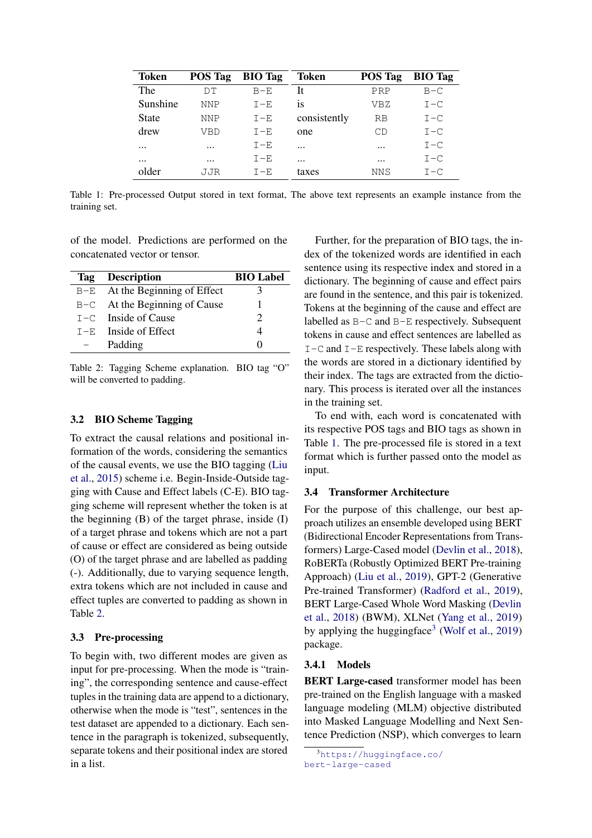<span id="page-1-1"></span>

| <b>Token</b> | <b>POS Tag</b> | <b>BIO</b> Tag | <b>Token</b> | <b>POS Tag</b> | <b>BIO</b> Tag |
|--------------|----------------|----------------|--------------|----------------|----------------|
| The          | DТ             | $B - E$        | It           | PRP            | $B-C$          |
| Sunshine     | NNP            | $T - F$        | 1S           | VBZ            | $I - C$        |
| <b>State</b> | NNP            | $I - E$        | consistently | <b>RB</b>      | $I - C$        |
| drew         | VBD            | $T - F$        | one          | CD             | $I - C$        |
| $\cdots$     | $\cdots$       | $T - F$        | $\cdots$     | $\cdots$       | $I - C$        |
| $\cdots$     | $\cdots$       | $I - E$        | $\cdots$     | $\cdots$       | $I - C$        |
| older        | JJR            | $T - F$        | taxes        | NNS            | $T - C$        |

Table 1: Pre-processed Output stored in text format, The above text represents an example instance from the training set.

of the model. Predictions are performed on the concatenated vector or tensor.

<span id="page-1-0"></span>

| <b>Tag</b> Description         | <b>BIO</b> Label  |
|--------------------------------|-------------------|
| B-E At the Beginning of Effect |                   |
| B-C At the Beginning of Cause  |                   |
| $I - C$ Inside of Cause        |                   |
| $T - E$ Inside of Effect       |                   |
| Padding                        | $\mathbf{\Omega}$ |
|                                |                   |

Table 2: Tagging Scheme explanation. BIO tag "O" will be converted to padding.

## 3.2 BIO Scheme Tagging

To extract the causal relations and positional information of the words, considering the semantics of the causal events, we use the BIO tagging [\(Liu](#page-4-7) [et al.,](#page-4-7) [2015\)](#page-4-7) scheme i.e. Begin-Inside-Outside tagging with Cause and Effect labels (C-E). BIO tagging scheme will represent whether the token is at the beginning  $(B)$  of the target phrase, inside  $(I)$ of a target phrase and tokens which are not a part of cause or effect are considered as being outside (O) of the target phrase and are labelled as padding (-). Additionally, due to varying sequence length, extra tokens which are not included in cause and effect tuples are converted to padding as shown in Table [2.](#page-1-0)

## 3.3 Pre-processing

To begin with, two different modes are given as input for pre-processing. When the mode is "training", the corresponding sentence and cause-effect tuples in the training data are append to a dictionary, otherwise when the mode is "test", sentences in the test dataset are appended to a dictionary. Each sentence in the paragraph is tokenized, subsequently, separate tokens and their positional index are stored in a list.

Further, for the preparation of BIO tags, the index of the tokenized words are identified in each sentence using its respective index and stored in a dictionary. The beginning of cause and effect pairs are found in the sentence, and this pair is tokenized. Tokens at the beginning of the cause and effect are labelled as B-C and B-E respectively. Subsequent tokens in cause and effect sentences are labelled as  $I-C$  and  $I-E$  respectively. These labels along with the words are stored in a dictionary identified by their index. The tags are extracted from the dictionary. This process is iterated over all the instances in the training set.

To end with, each word is concatenated with its respective POS tags and BIO tags as shown in Table [1.](#page-1-1) The pre-processed file is stored in a text format which is further passed onto the model as input.

#### 3.4 Transformer Architecture

For the purpose of this challenge, our best approach utilizes an ensemble developed using BERT (Bidirectional Encoder Representations from Transformers) Large-Cased model [\(Devlin et al.,](#page-4-8) [2018\)](#page-4-8), RoBERTa (Robustly Optimized BERT Pre-training Approach) [\(Liu et al.,](#page-4-11) [2019\)](#page-4-11), GPT-2 (Generative Pre-trained Transformer) [\(Radford et al.,](#page-4-10) [2019\)](#page-4-10), BERT Large-Cased Whole Word Masking [\(Devlin](#page-4-8) [et al.,](#page-4-8) [2018\)](#page-4-8) (BWM), XLNet [\(Yang et al.,](#page-4-9) [2019\)](#page-4-9) by applying the huggingface<sup>[3](#page-1-2)</sup> [\(Wolf et al.,](#page-4-14) [2019\)](#page-4-14) package.

## 3.4.1 Models

BERT Large-cased transformer model has been pre-trained on the English language with a masked language modeling (MLM) objective distributed into Masked Language Modelling and Next Sentence Prediction (NSP), which converges to learn

<span id="page-1-2"></span><sup>3</sup>[https://huggingface.co/](https://huggingface.co/bert-large-cased) [bert-large-cased](https://huggingface.co/bert-large-cased)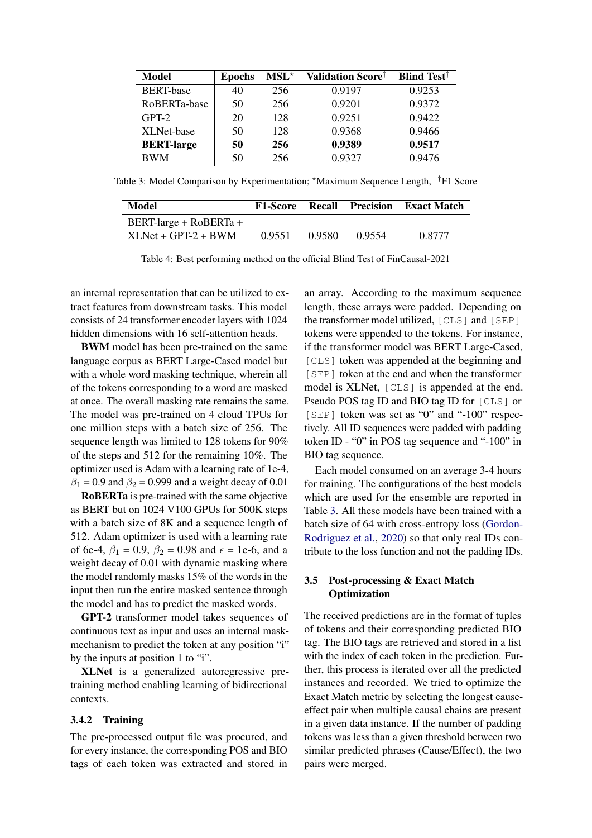<span id="page-2-0"></span>

| Model             | <b>Epochs</b> | $MSL^*$ | <b>Validation Score</b> † | <b>Blind Test</b> <sup>†</sup> |
|-------------------|---------------|---------|---------------------------|--------------------------------|
| <b>BERT-base</b>  | 40            | 256     | 0.9197                    | 0.9253                         |
| RoBERTa-base      | 50            | 256     | 0.9201                    | 0.9372                         |
| $GPT-2$           | 20            | 128     | 0.9251                    | 0.9422                         |
| XLNet-base        | 50            | 128     | 0.9368                    | 0.9466                         |
| <b>BERT-large</b> | 50            | 256     | 0.9389                    | 0.9517                         |
| <b>BWM</b>        | 50            | 256     | 0.9327                    | 0.9476                         |

<span id="page-2-1"></span>Table 3: Model Comparison by Experimentation; \*Maximum Sequence Length, <sup>†</sup>F1 Score

| Model                  | <b>F1-Score Recall</b> |        | Precision | <b>Exact Match</b> |
|------------------------|------------------------|--------|-----------|--------------------|
| BERT-large + RoBERTa + |                        |        |           |                    |
| $XLMet + GPT-2 + BWM$  | 0.9551                 | 0.9580 | 0.9554    | 0.8777             |

Table 4: Best performing method on the official Blind Test of FinCausal-2021

an internal representation that can be utilized to extract features from downstream tasks. This model consists of 24 transformer encoder layers with 1024 hidden dimensions with 16 self-attention heads.

BWM model has been pre-trained on the same language corpus as BERT Large-Cased model but with a whole word masking technique, wherein all of the tokens corresponding to a word are masked at once. The overall masking rate remains the same. The model was pre-trained on 4 cloud TPUs for one million steps with a batch size of 256. The sequence length was limited to 128 tokens for 90% of the steps and 512 for the remaining 10%. The optimizer used is Adam with a learning rate of 1e-4,  $\beta_1 = 0.9$  and  $\beta_2 = 0.999$  and a weight decay of 0.01

RoBERTa is pre-trained with the same objective as BERT but on 1024 V100 GPUs for 500K steps with a batch size of 8K and a sequence length of 512. Adam optimizer is used with a learning rate of 6e-4,  $\beta_1 = 0.9$ ,  $\beta_2 = 0.98$  and  $\epsilon = 1e$ -6, and a weight decay of 0.01 with dynamic masking where the model randomly masks 15% of the words in the input then run the entire masked sentence through the model and has to predict the masked words.

GPT-2 transformer model takes sequences of continuous text as input and uses an internal maskmechanism to predict the token at any position "i" by the inputs at position 1 to "i".

XLNet is a generalized autoregressive pretraining method enabling learning of bidirectional contexts.

#### 3.4.2 Training

The pre-processed output file was procured, and for every instance, the corresponding POS and BIO tags of each token was extracted and stored in an array. According to the maximum sequence length, these arrays were padded. Depending on the transformer model utilized, [CLS] and [SEP] tokens were appended to the tokens. For instance, if the transformer model was BERT Large-Cased, [CLS] token was appended at the beginning and [SEP] token at the end and when the transformer model is XLNet, [CLS] is appended at the end. Pseudo POS tag ID and BIO tag ID for [CLS] or [SEP] token was set as "0" and "-100" respectively. All ID sequences were padded with padding token ID - "0" in POS tag sequence and "-100" in BIO tag sequence.

Each model consumed on an average 3-4 hours for training. The configurations of the best models which are used for the ensemble are reported in Table [3.](#page-2-0) All these models have been trained with a batch size of 64 with cross-entropy loss [\(Gordon-](#page-4-15)[Rodriguez et al.,](#page-4-15) [2020\)](#page-4-15) so that only real IDs contribute to the loss function and not the padding IDs.

## 3.5 Post-processing & Exact Match **Optimization**

The received predictions are in the format of tuples of tokens and their corresponding predicted BIO tag. The BIO tags are retrieved and stored in a list with the index of each token in the prediction. Further, this process is iterated over all the predicted instances and recorded. We tried to optimize the Exact Match metric by selecting the longest causeeffect pair when multiple causal chains are present in a given data instance. If the number of padding tokens was less than a given threshold between two similar predicted phrases (Cause/Effect), the two pairs were merged.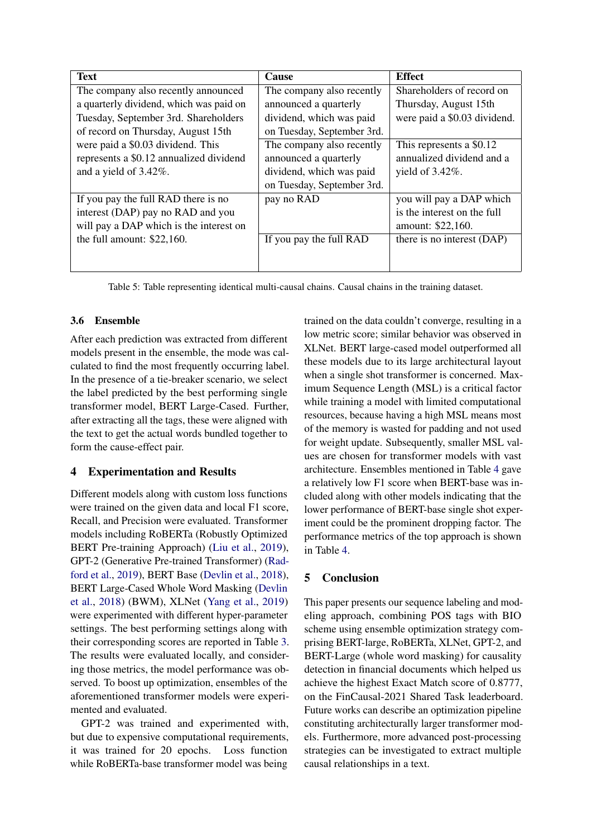| <b>Text</b>                             | <b>Cause</b>               | <b>Effect</b>                |
|-----------------------------------------|----------------------------|------------------------------|
| The company also recently announced     | The company also recently  | Shareholders of record on    |
| a quarterly dividend, which was paid on | announced a quarterly      | Thursday, August 15th        |
| Tuesday, September 3rd. Shareholders    | dividend, which was paid   | were paid a \$0.03 dividend. |
| of record on Thursday, August 15th      | on Tuesday, September 3rd. |                              |
| were paid a \$0.03 dividend. This       | The company also recently  | This represents a \$0.12     |
| represents a \$0.12 annualized dividend | announced a quarterly      | annualized dividend and a    |
| and a yield of 3.42%.                   | dividend, which was paid   | yield of $3.42\%$ .          |
|                                         | on Tuesday, September 3rd. |                              |
| If you pay the full RAD there is no     | pay no RAD                 | you will pay a DAP which     |
| interest (DAP) pay no RAD and you       |                            | is the interest on the full  |
| will pay a DAP which is the interest on |                            | amount: \$22,160.            |
| the full amount: $$22,160$ .            | If you pay the full RAD    | there is no interest (DAP)   |
|                                         |                            |                              |
|                                         |                            |                              |

Table 5: Table representing identical multi-causal chains. Causal chains in the training dataset.

## 3.6 Ensemble

After each prediction was extracted from different models present in the ensemble, the mode was calculated to find the most frequently occurring label. In the presence of a tie-breaker scenario, we select the label predicted by the best performing single transformer model, BERT Large-Cased. Further, after extracting all the tags, these were aligned with the text to get the actual words bundled together to form the cause-effect pair.

## 4 Experimentation and Results

Different models along with custom loss functions were trained on the given data and local F1 score, Recall, and Precision were evaluated. Transformer models including RoBERTa (Robustly Optimized BERT Pre-training Approach) [\(Liu et al.,](#page-4-11) [2019\)](#page-4-11), GPT-2 (Generative Pre-trained Transformer) [\(Rad](#page-4-10)[ford et al.,](#page-4-10) [2019\)](#page-4-10), BERT Base [\(Devlin et al.,](#page-4-8) [2018\)](#page-4-8), BERT Large-Cased Whole Word Masking [\(Devlin](#page-4-8) [et al.,](#page-4-8) [2018\)](#page-4-8) (BWM), XLNet [\(Yang et al.,](#page-4-9) [2019\)](#page-4-9) were experimented with different hyper-parameter settings. The best performing settings along with their corresponding scores are reported in Table [3.](#page-2-0) The results were evaluated locally, and considering those metrics, the model performance was observed. To boost up optimization, ensembles of the aforementioned transformer models were experimented and evaluated.

GPT-2 was trained and experimented with, but due to expensive computational requirements, it was trained for 20 epochs. Loss function while RoBERTa-base transformer model was being

trained on the data couldn't converge, resulting in a low metric score; similar behavior was observed in XLNet. BERT large-cased model outperformed all these models due to its large architectural layout when a single shot transformer is concerned. Maximum Sequence Length (MSL) is a critical factor while training a model with limited computational resources, because having a high MSL means most of the memory is wasted for padding and not used for weight update. Subsequently, smaller MSL values are chosen for transformer models with vast architecture. Ensembles mentioned in Table [4](#page-2-1) gave a relatively low F1 score when BERT-base was included along with other models indicating that the lower performance of BERT-base single shot experiment could be the prominent dropping factor. The performance metrics of the top approach is shown in Table [4.](#page-2-1)

## 5 Conclusion

This paper presents our sequence labeling and modeling approach, combining POS tags with BIO scheme using ensemble optimization strategy comprising BERT-large, RoBERTa, XLNet, GPT-2, and BERT-Large (whole word masking) for causality detection in financial documents which helped us achieve the highest Exact Match score of 0.8777, on the FinCausal-2021 Shared Task leaderboard. Future works can describe an optimization pipeline constituting architecturally larger transformer models. Furthermore, more advanced post-processing strategies can be investigated to extract multiple causal relationships in a text.